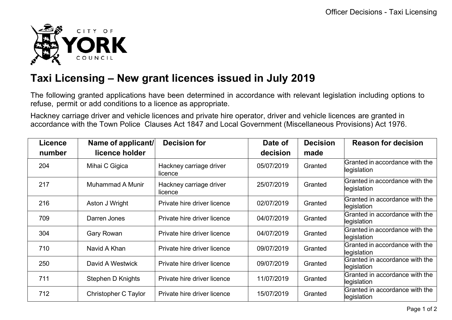

## **Taxi Licensing – New grant licences issued in July 2019**

The following granted applications have been determined in accordance with relevant legislation including options to refuse, permit or add conditions to a licence as appropriate.

Hackney carriage driver and vehicle licences and private hire operator, driver and vehicle licences are granted in accordance with the Town Police Clauses Act 1847 and Local Government (Miscellaneous Provisions) Act 1976.

| Licence | Name of applicant/       | <b>Decision for</b>                | Date of    | <b>Decision</b> | <b>Reason for decision</b>                    |
|---------|--------------------------|------------------------------------|------------|-----------------|-----------------------------------------------|
| number  | licence holder           |                                    | decision   | made            |                                               |
| 204     | Mihai C Gigica           | Hackney carriage driver<br>licence | 05/07/2019 | Granted         | Granted in accordance with the<br>legislation |
| 217     | <b>Muhammad A Munir</b>  | Hackney carriage driver<br>licence | 25/07/2019 | Granted         | Granted in accordance with the<br>legislation |
| 216     | Aston J Wright           | Private hire driver licence        | 02/07/2019 | Granted         | Granted in accordance with the<br>legislation |
| 709     | Darren Jones             | Private hire driver licence        | 04/07/2019 | Granted         | Granted in accordance with the<br>legislation |
| 304     | <b>Gary Rowan</b>        | Private hire driver licence        | 04/07/2019 | Granted         | Granted in accordance with the<br>legislation |
| 710     | Navid A Khan             | Private hire driver licence        | 09/07/2019 | Granted         | Granted in accordance with the<br>legislation |
| 250     | David A Westwick         | Private hire driver licence        | 09/07/2019 | Granted         | Granted in accordance with the<br>legislation |
| 711     | <b>Stephen D Knights</b> | Private hire driver licence        | 11/07/2019 | Granted         | Granted in accordance with the<br>legislation |
| 712     | Christopher C Taylor     | Private hire driver licence        | 15/07/2019 | Granted         | Granted in accordance with the<br>legislation |